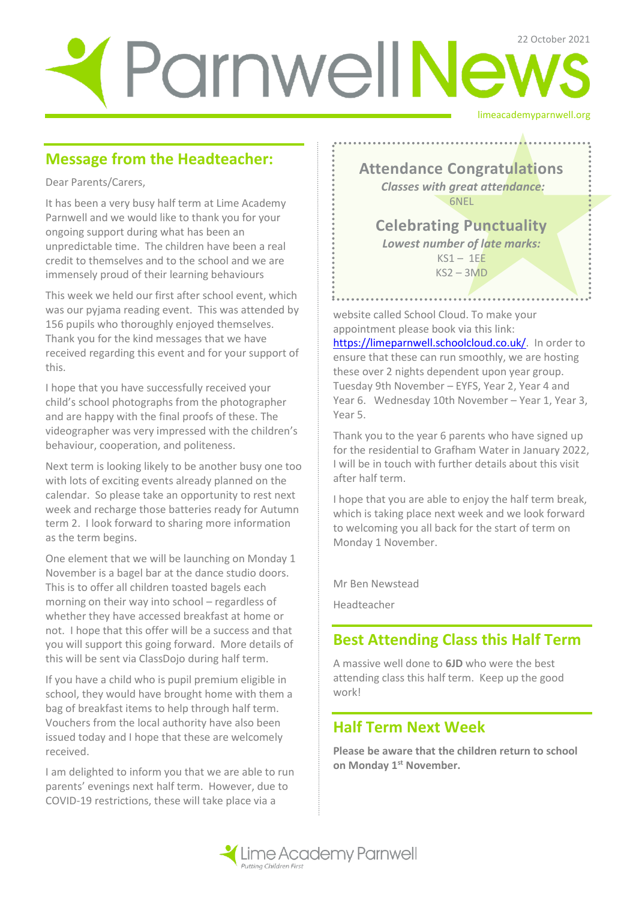# limeacademyparnwell.org Parnwell News

# **Message from the Headteacher:**

Dear Parents/Carers,

It has been a very busy half term at Lime Academy Parnwell and we would like to thank you for your ongoing support during what has been an unpredictable time. The children have been a real credit to themselves and to the school and we are immensely proud of their learning behaviours

This week we held our first after school event, which was our pyjama reading event. This was attended by 156 pupils who thoroughly enjoyed themselves. Thank you for the kind messages that we have received regarding this event and for your support of this.

I hope that you have successfully received your child's school photographs from the photographer and are happy with the final proofs of these. The videographer was very impressed with the children's behaviour, cooperation, and politeness.

Next term is looking likely to be another busy one too with lots of exciting events already planned on the calendar. So please take an opportunity to rest next week and recharge those batteries ready for Autumn term 2. I look forward to sharing more information as the term begins.

One element that we will be launching on Monday 1 November is a bagel bar at the dance studio doors. This is to offer all children toasted bagels each morning on their way into school – regardless of whether they have accessed breakfast at home or not. I hope that this offer will be a success and that you will support this going forward. More details of this will be sent via ClassDojo during half term.

If you have a child who is pupil premium eligible in school, they would have brought home with them a bag of breakfast items to help through half term. Vouchers from the local authority have also been issued today and I hope that these are welcomely received.

I am delighted to inform you that we are able to run parents' evenings next half term. However, due to COVID-19 restrictions, these will take place via a

**Attendance Congratulations** *Classes with great attendance:* 6NEL

**Celebrating Punctuality**  *Lowest number of late marks:*   $KS1 - 1EE$  $KS2 - 3MD$ 

. . . . . . . . . . . . . . . .

website called School Cloud. To make your appointment please book via this link: [https://limeparnwell.schoolcloud.co.uk/.](https://limeparnwell.schoolcloud.co.uk/) In order to ensure that these can run smoothly, we are hosting these over 2 nights dependent upon year group. Tuesday 9th November – EYFS, Year 2, Year 4 and Year 6. Wednesday 10th November - Year 1, Year 3, Year 5.

Thank you to the year 6 parents who have signed up for the residential to Grafham Water in January 2022, I will be in touch with further details about this visit after half term.

I hope that you are able to enjoy the half term break, which is taking place next week and we look forward to welcoming you all back for the start of term on Monday 1 November.

Mr Ben Newstead

Headteacher

## **Best Attending Class this Half Term**

A massive well done to **6JD** who were the best attending class this half term. Keep up the good work!

## **Half Term Next Week**

**Please be aware that the children return to school on Monday 1st November.** 

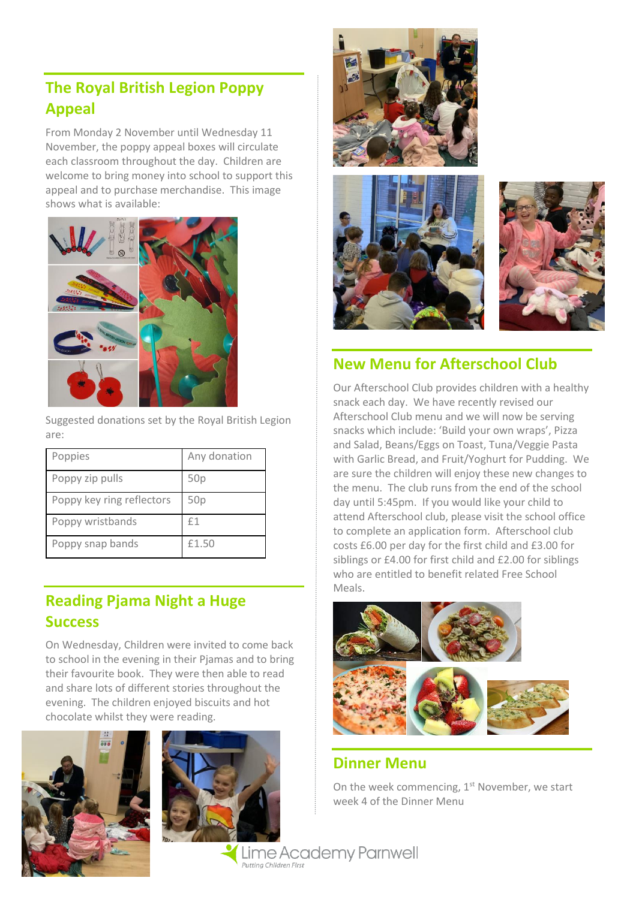# **The Royal British Legion Poppy Appeal**

From Monday 2 November until Wednesday 11 November, the poppy appeal boxes will circulate each classroom throughout the day. Children are welcome to bring money into school to support this appeal and to purchase merchandise. This image shows what is available:



Suggested donations set by the Royal British Legion are:

| Poppies                   | Any donation |
|---------------------------|--------------|
| Poppy zip pulls           | 50p          |
| Poppy key ring reflectors | 50p          |
| Poppy wristbands          | £1           |
| Poppy snap bands          | £1.50        |

# **Reading Pjama Night a Huge Success**

On Wednesday, Children were invited to come back to school in the evening in their Pjamas and to bring their favourite book. They were then able to read and share lots of different stories throughout the evening. The children enjoyed biscuits and hot chocolate whilst they were reading.











### **New Menu for Afterschool Club**

Our Afterschool Club provides children with a healthy snack each day. We have recently revised our Afterschool Club menu and we will now be serving snacks which include: 'Build your own wraps', Pizza and Salad, Beans/Eggs on Toast, Tuna/Veggie Pasta with Garlic Bread, and Fruit/Yoghurt for Pudding. We are sure the children will enjoy these new changes to the menu. The club runs from the end of the school day until 5:45pm. If you would like your child to attend Afterschool club, please visit the school office to complete an application form. Afterschool club costs £6.00 per day for the first child and £3.00 for siblings or £4.00 for first child and £2.00 for siblings who are entitled to benefit related Free School Meals.



#### **Dinner Menu**

On the week commencing,  $1<sup>st</sup>$  November, we start week 4 of the Dinner Menu

Lime Academy Parnwell Putting Children First